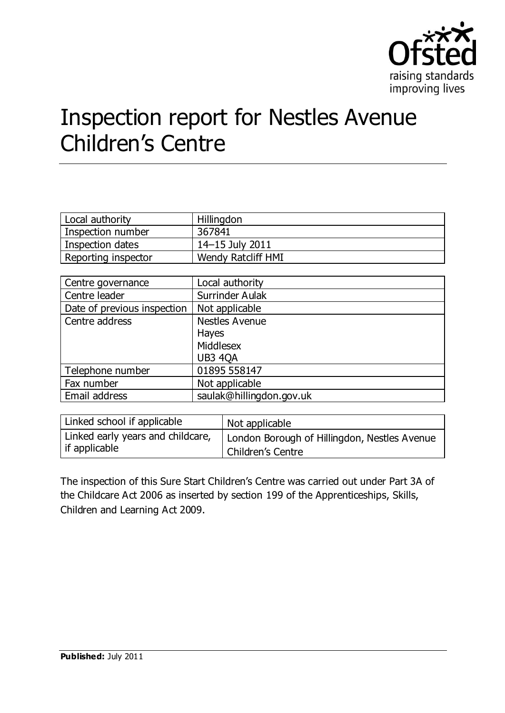

# Inspection report for Nestles Avenue Children's Centre

| Local authority     | Hillingdon          |
|---------------------|---------------------|
| Inspection number   | 367841              |
| Inspection dates    | $14 - 15$ July 2011 |
| Reporting inspector | Wendy Ratcliff HMI  |

| Centre governance           | Local authority          |
|-----------------------------|--------------------------|
| Centre leader               | Surrinder Aulak          |
| Date of previous inspection | Not applicable           |
| Centre address              | <b>Nestles Avenue</b>    |
|                             | <b>Hayes</b>             |
|                             | Middlesex                |
|                             | <b>UB3 4QA</b>           |
| Telephone number            | 01895 558147             |
| Fax number                  | Not applicable           |
| Email address               | saulak@hillingdon.gov.uk |

| Linked school if applicable       | Not applicable                               |
|-----------------------------------|----------------------------------------------|
| Linked early years and childcare, | London Borough of Hillingdon, Nestles Avenue |
| l if applicable                   | Children's Centre                            |

The inspection of this Sure Start Children's Centre was carried out under Part 3A of the Childcare Act 2006 as inserted by section 199 of the Apprenticeships, Skills, Children and Learning Act 2009.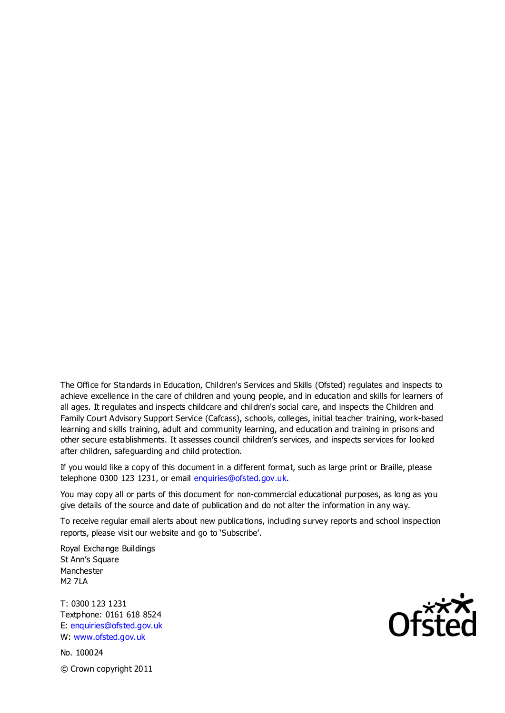The Office for Standards in Education, Children's Services and Skills (Ofsted) regulates and inspects to achieve excellence in the care of children and young people, and in education and skills for learners of all ages. It regulates and inspects childcare and children's social care, and inspects the Children and Family Court Advisory Support Service (Cafcass), schools, colleges, initial teacher training, work-based learning and skills training, adult and community learning, and education and training in prisons and other secure establishments. It assesses council children's services, and inspects services for looked after children, safeguarding and child protection.

If you would like a copy of this document in a different format, such as large print or Braille, please telephone 0300 123 1231, or email enquiries@ofsted.gov.uk.

You may copy all or parts of this document for non-commercial educational purposes, as long as you give details of the source and date of publication and do not alter the information in any way.

To receive regular email alerts about new publications, including survey reports and school inspection reports, please visit our website and go to 'Subscribe'.

Royal Exchange Buildings St Ann's Square Manchester M2 7LA

T: 0300 123 1231 Textphone: 0161 618 8524 E: enquiries@ofsted.gov.uk W: www.ofsted.gov.uk

No. 100024 © Crown copyright 2011

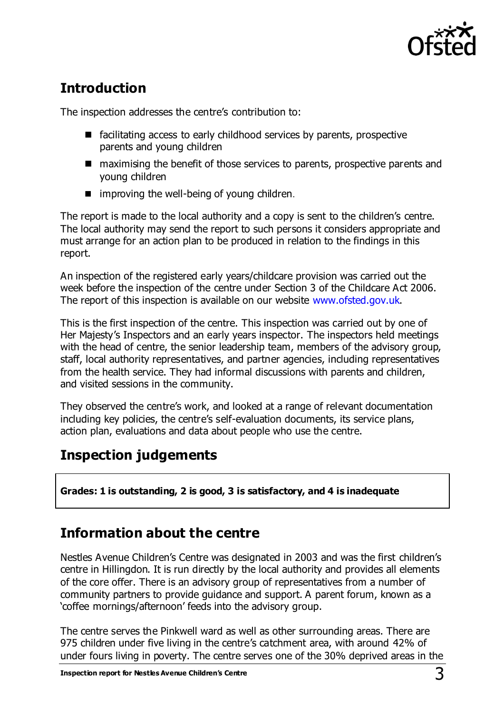

# **Introduction**

The inspection addresses the centre's contribution to:

- $\blacksquare$  facilitating access to early childhood services by parents, prospective parents and young children
- maximising the benefit of those services to parents, prospective parents and young children
- $\blacksquare$  improving the well-being of young children.

The report is made to the local authority and a copy is sent to the children's centre. The local authority may send the report to such persons it considers appropriate and must arrange for an action plan to be produced in relation to the findings in this report.

An inspection of the registered early years/childcare provision was carried out the week before the inspection of the centre under Section 3 of the Childcare Act 2006. The report of this inspection is available on our website [www.ofsted.gov.uk.](http://www.ofsted.gov.uk/)

This is the first inspection of the centre. This inspection was carried out by one of Her Majesty's Inspectors and an early years inspector. The inspectors held meetings with the head of centre, the senior leadership team, members of the advisory group, staff, local authority representatives, and partner agencies, including representatives from the health service. They had informal discussions with parents and children, and visited sessions in the community.

They observed the centre's work, and looked at a range of relevant documentation including key policies, the centre's self-evaluation documents, its service plans, action plan, evaluations and data about people who use the centre.

# **Inspection judgements**

**Grades: 1 is outstanding, 2 is good, 3 is satisfactory, and 4 is inadequate**

# **Information about the centre**

Nestles Avenue Children's Centre was designated in 2003 and was the first children's centre in Hillingdon. It is run directly by the local authority and provides all elements of the core offer. There is an advisory group of representatives from a number of community partners to provide guidance and support. A parent forum, known as a 'coffee mornings/afternoon' feeds into the advisory group.

The centre serves the Pinkwell ward as well as other surrounding areas. There are 975 children under five living in the centre's catchment area, with around 42% of under fours living in poverty. The centre serves one of the 30% deprived areas in the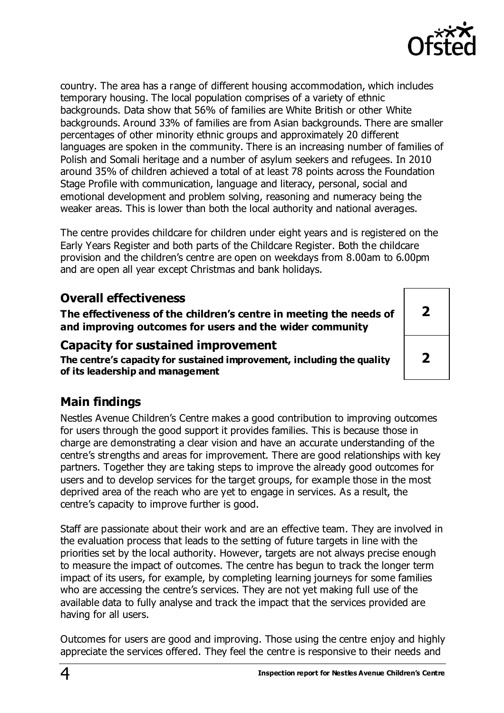

**2**

**2**

country. The area has a range of different housing accommodation, which includes temporary housing. The local population comprises of a variety of ethnic backgrounds. Data show that 56% of families are White British or other White backgrounds. Around 33% of families are from Asian backgrounds. There are smaller percentages of other minority ethnic groups and approximately 20 different languages are spoken in the community. There is an increasing number of families of Polish and Somali heritage and a number of asylum seekers and refugees. In 2010 around 35% of children achieved a total of at least 78 points across the Foundation Stage Profile with communication, language and literacy, personal, social and emotional development and problem solving, reasoning and numeracy being the weaker areas. This is lower than both the local authority and national averages.

The centre provides childcare for children under eight years and is registered on the Early Years Register and both parts of the Childcare Register. Both the childcare provision and the children's centre are open on weekdays from 8.00am to 6.00pm and are open all year except Christmas and bank holidays.

### **Overall effectiveness**

**The effectiveness of the children's centre in meeting the needs of and improving outcomes for users and the wider community**

### **Capacity for sustained improvement**

**The centre's capacity for sustained improvement, including the quality of its leadership and management**

# **Main findings**

Nestles Avenue Children's Centre makes a good contribution to improving outcomes for users through the good support it provides families. This is because those in charge are demonstrating a clear vision and have an accurate understanding of the centre's strengths and areas for improvement. There are good relationships with key partners. Together they are taking steps to improve the already good outcomes for users and to develop services for the target groups, for example those in the most deprived area of the reach who are yet to engage in services. As a result, the centre's capacity to improve further is good.

Staff are passionate about their work and are an effective team. They are involved in the evaluation process that leads to the setting of future targets in line with the priorities set by the local authority. However, targets are not always precise enough to measure the impact of outcomes. The centre has begun to track the longer term impact of its users, for example, by completing learning journeys for some families who are accessing the centre's services. They are not yet making full use of the available data to fully analyse and track the impact that the services provided are having for all users.

Outcomes for users are good and improving. Those using the centre enjoy and highly appreciate the services offered. They feel the centre is responsive to their needs and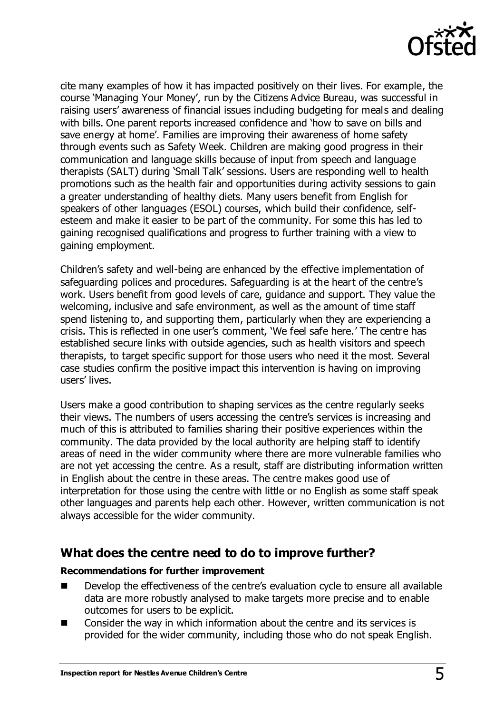

cite many examples of how it has impacted positively on their lives. For example, the course 'Managing Your Money', run by the Citizens Advice Bureau, was successful in raising users' awareness of financial issues including budgeting for meals and dealing with bills. One parent reports increased confidence and 'how to save on bills and save energy at home'. Families are improving their awareness of home safety through events such as Safety Week. Children are making good progress in their communication and language skills because of input from speech and language therapists (SALT) during 'Small Talk' sessions. Users are responding well to health promotions such as the health fair and opportunities during activity sessions to gain a greater understanding of healthy diets. Many users benefit from English for speakers of other languages (ESOL) courses, which build their confidence, selfesteem and make it easier to be part of the community. For some this has led to gaining recognised qualifications and progress to further training with a view to gaining employment.

Children's safety and well-being are enhanced by the effective implementation of safeguarding polices and procedures. Safeguarding is at the heart of the centre's work. Users benefit from good levels of care, guidance and support. They value the welcoming, inclusive and safe environment, as well as the amount of time staff spend listening to, and supporting them, particularly when they are experiencing a crisis. This is reflected in one user's comment, 'We feel safe here.' The centre has established secure links with outside agencies, such as health visitors and speech therapists, to target specific support for those users who need it the most. Several case studies confirm the positive impact this intervention is having on improving users' lives.

Users make a good contribution to shaping services as the centre regularly seeks their views. The numbers of users accessing the centre's services is increasing and much of this is attributed to families sharing their positive experiences within the community. The data provided by the local authority are helping staff to identify areas of need in the wider community where there are more vulnerable families who are not yet accessing the centre. As a result, staff are distributing information written in English about the centre in these areas. The centre makes good use of interpretation for those using the centre with little or no English as some staff speak other languages and parents help each other. However, written communication is not always accessible for the wider community.

### **What does the centre need to do to improve further?**

#### **Recommendations for further improvement**

- Develop the effectiveness of the centre's evaluation cycle to ensure all available data are more robustly analysed to make targets more precise and to enable outcomes for users to be explicit.
- Consider the way in which information about the centre and its services is provided for the wider community, including those who do not speak English.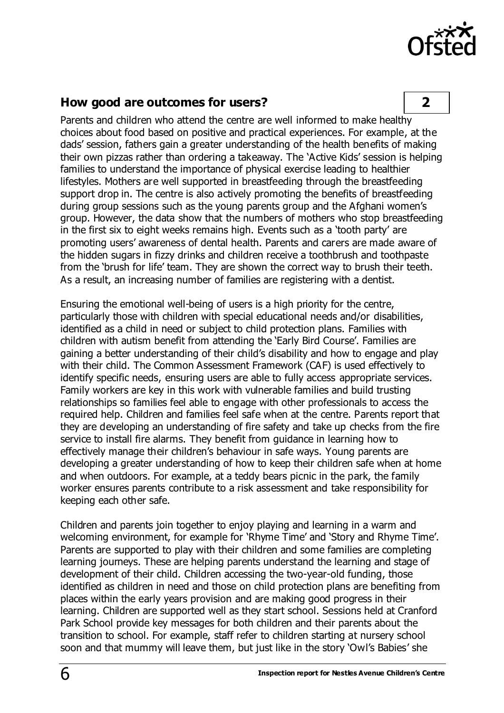

### **How good are outcomes for users? 2**

Parents and children who attend the centre are well informed to make healthy choices about food based on positive and practical experiences. For example, at the dads' session, fathers gain a greater understanding of the health benefits of making their own pizzas rather than ordering a takeaway. The 'Active Kids' session is helping families to understand the importance of physical exercise leading to healthier lifestyles. Mothers are well supported in breastfeeding through the breastfeeding support drop in. The centre is also actively promoting the benefits of breastfeeding during group sessions such as the young parents group and the Afghani women's group. However, the data show that the numbers of mothers who stop breastfeeding in the first six to eight weeks remains high. Events such as a 'tooth party' are promoting users' awareness of dental health. Parents and carers are made aware of the hidden sugars in fizzy drinks and children receive a toothbrush and toothpaste from the 'brush for life' team. They are shown the correct way to brush their teeth. As a result, an increasing number of families are registering with a dentist.

Ensuring the emotional well-being of users is a high priority for the centre, particularly those with children with special educational needs and/or disabilities, identified as a child in need or subject to child protection plans. Families with children with autism benefit from attending the 'Early Bird Course'. Families are gaining a better understanding of their child's disability and how to engage and play with their child. The Common Assessment Framework (CAF) is used effectively to identify specific needs, ensuring users are able to fully access appropriate services. Family workers are key in this work with vulnerable families and build trusting relationships so families feel able to engage with other professionals to access the required help. Children and families feel safe when at the centre. Parents report that they are developing an understanding of fire safety and take up checks from the fire service to install fire alarms. They benefit from guidance in learning how to effectively manage their children's behaviour in safe ways. Young parents are developing a greater understanding of how to keep their children safe when at home and when outdoors. For example, at a teddy bears picnic in the park, the family worker ensures parents contribute to a risk assessment and take responsibility for keeping each other safe.

Children and parents join together to enjoy playing and learning in a warm and welcoming environment, for example for 'Rhyme Time' and 'Story and Rhyme Time'. Parents are supported to play with their children and some families are completing learning journeys. These are helping parents understand the learning and stage of development of their child. Children accessing the two-year-old funding, those identified as children in need and those on child protection plans are benefiting from places within the early years provision and are making good progress in their learning. Children are supported well as they start school. Sessions held at Cranford Park School provide key messages for both children and their parents about the transition to school. For example, staff refer to children starting at nursery school soon and that mummy will leave them, but just like in the story 'Owl's Babies' she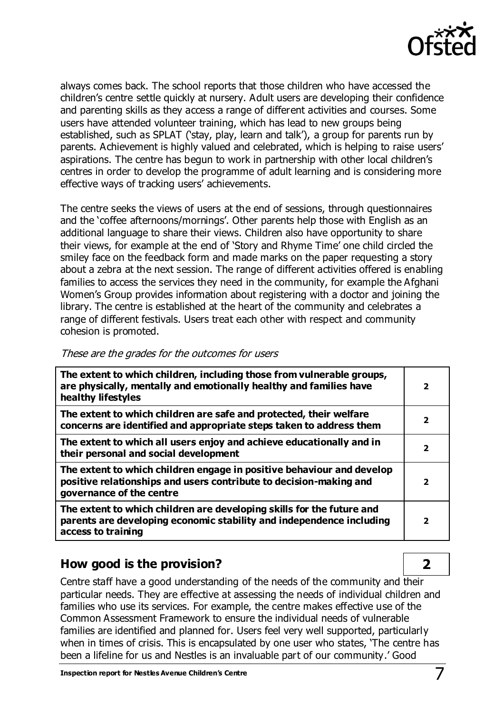

always comes back. The school reports that those children who have accessed the children's centre settle quickly at nursery. Adult users are developing their confidence and parenting skills as they access a range of different activities and courses. Some users have attended volunteer training, which has lead to new groups being established, such as SPLAT ('stay, play, learn and talk'), a group for parents run by parents. Achievement is highly valued and celebrated, which is helping to raise users' aspirations. The centre has begun to work in partnership with other local children's centres in order to develop the programme of adult learning and is considering more effective ways of tracking users' achievements.

The centre seeks the views of users at the end of sessions, through questionnaires and the 'coffee afternoons/mornings'. Other parents help those with English as an additional language to share their views. Children also have opportunity to share their views, for example at the end of 'Story and Rhyme Time' one child circled the smiley face on the feedback form and made marks on the paper requesting a story about a zebra at the next session. The range of different activities offered is enabling families to access the services they need in the community, for example the Afghani Women's Group provides information about registering with a doctor and joining the library. The centre is established at the heart of the community and celebrates a range of different festivals. Users treat each other with respect and community cohesion is promoted.

| The extent to which children, including those from vulnerable groups,<br>are physically, mentally and emotionally healthy and families have<br>healthy lifestyles       | $\overline{2}$          |
|-------------------------------------------------------------------------------------------------------------------------------------------------------------------------|-------------------------|
| The extent to which children are safe and protected, their welfare<br>concerns are identified and appropriate steps taken to address them                               | $\mathbf{2}$            |
| The extent to which all users enjoy and achieve educationally and in<br>their personal and social development                                                           | $\mathbf{2}$            |
| The extent to which children engage in positive behaviour and develop<br>positive relationships and users contribute to decision-making and<br>governance of the centre | 2                       |
| The extent to which children are developing skills for the future and<br>parents are developing economic stability and independence including<br>access to training     | $\overline{\mathbf{2}}$ |

#### These are the grades for the outcomes for users

### **How good is the provision? 2**

Centre staff have a good understanding of the needs of the community and their particular needs. They are effective at assessing the needs of individual children and families who use its services. For example, the centre makes effective use of the Common Assessment Framework to ensure the individual needs of vulnerable families are identified and planned for. Users feel very well supported, particularly when in times of crisis. This is encapsulated by one user who states, 'The centre has been a lifeline for us and Nestles is an invaluable part of our community.' Good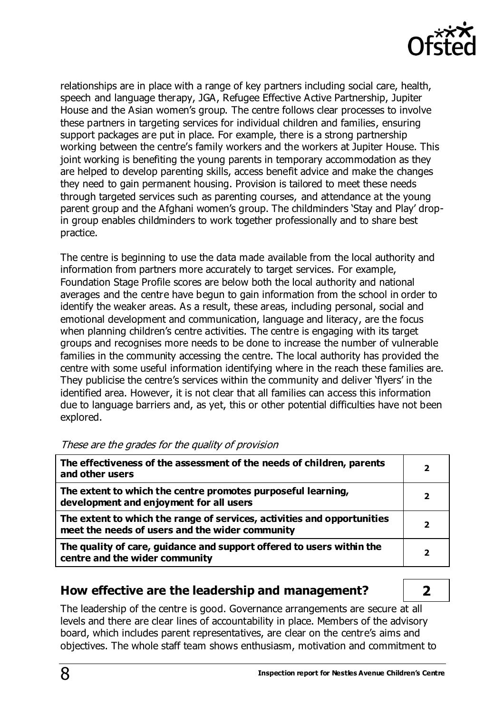

relationships are in place with a range of key partners including social care, health, speech and language therapy, JGA, Refugee Effective Active Partnership, Jupiter House and the Asian women's group. The centre follows clear processes to involve these partners in targeting services for individual children and families, ensuring support packages are put in place. For example, there is a strong partnership working between the centre's family workers and the workers at Jupiter House. This joint working is benefiting the young parents in temporary accommodation as they are helped to develop parenting skills, access benefit advice and make the changes they need to gain permanent housing. Provision is tailored to meet these needs through targeted services such as parenting courses, and attendance at the young parent group and the Afghani women's group. The childminders 'Stay and Play' dropin group enables childminders to work together professionally and to share best practice.

The centre is beginning to use the data made available from the local authority and information from partners more accurately to target services. For example, Foundation Stage Profile scores are below both the local authority and national averages and the centre have begun to gain information from the school in order to identify the weaker areas. As a result, these areas, including personal, social and emotional development and communication, language and literacy, are the focus when planning children's centre activities. The centre is engaging with its target groups and recognises more needs to be done to increase the number of vulnerable families in the community accessing the centre. The local authority has provided the centre with some useful information identifying where in the reach these families are. They publicise the centre's services within the community and deliver 'flyers' in the identified area. However, it is not clear that all families can access this information due to language barriers and, as yet, this or other potential difficulties have not been explored.

|  | ---                                               |  |  |  |  |
|--|---------------------------------------------------|--|--|--|--|
|  | These are the grades for the quality of provision |  |  |  |  |

These are the grades for the quality of provision

| The effectiveness of the assessment of the needs of children, parents<br>and other users                                   | $\overline{\mathbf{2}}$ |
|----------------------------------------------------------------------------------------------------------------------------|-------------------------|
| The extent to which the centre promotes purposeful learning,<br>development and enjoyment for all users                    | 2                       |
| The extent to which the range of services, activities and opportunities<br>meet the needs of users and the wider community | 2                       |
| The quality of care, guidance and support offered to users within the<br>centre and the wider community                    | 2                       |

## **How effective are the leadership and management? 2**

The leadership of the centre is good. Governance arrangements are secure at all levels and there are clear lines of accountability in place. Members of the advisory board, which includes parent representatives, are clear on the centre's aims and objectives. The whole staff team shows enthusiasm, motivation and commitment to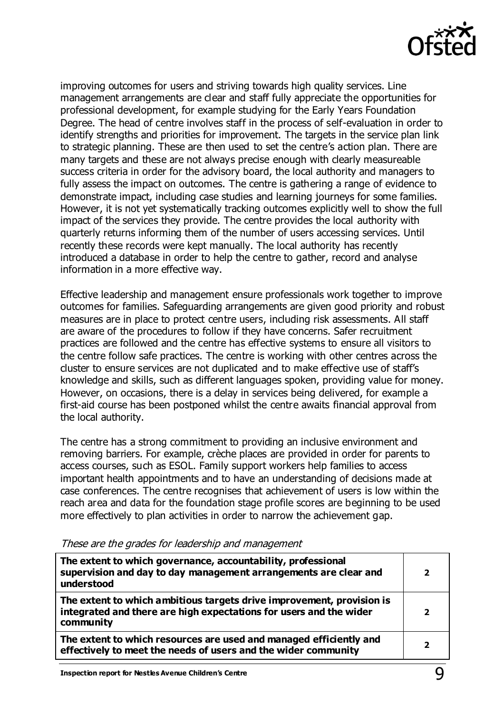

improving outcomes for users and striving towards high quality services. Line management arrangements are clear and staff fully appreciate the opportunities for professional development, for example studying for the Early Years Foundation Degree. The head of centre involves staff in the process of self-evaluation in order to identify strengths and priorities for improvement. The targets in the service plan link to strategic planning. These are then used to set the centre's action plan. There are many targets and these are not always precise enough with clearly measureable success criteria in order for the advisory board, the local authority and managers to fully assess the impact on outcomes. The centre is gathering a range of evidence to demonstrate impact, including case studies and learning journeys for some families. However, it is not yet systematically tracking outcomes explicitly well to show the full impact of the services they provide. The centre provides the local authority with quarterly returns informing them of the number of users accessing services. Until recently these records were kept manually. The local authority has recently introduced a database in order to help the centre to gather, record and analyse information in a more effective way.

Effective leadership and management ensure professionals work together to improve outcomes for families. Safeguarding arrangements are given good priority and robust measures are in place to protect centre users, including risk assessments. All staff are aware of the procedures to follow if they have concerns. Safer recruitment practices are followed and the centre has effective systems to ensure all visitors to the centre follow safe practices. The centre is working with other centres across the cluster to ensure services are not duplicated and to make effective use of staff's knowledge and skills, such as different languages spoken, providing value for money. However, on occasions, there is a delay in services being delivered, for example a first-aid course has been postponed whilst the centre awaits financial approval from the local authority.

The centre has a strong commitment to providing an inclusive environment and removing barriers. For example, crèche places are provided in order for parents to access courses, such as ESOL. Family support workers help families to access important health appointments and to have an understanding of decisions made at case conferences. The centre recognises that achievement of users is low within the reach area and data for the foundation stage profile scores are beginning to be used more effectively to plan activities in order to narrow the achievement gap.

| The extent to which governance, accountability, professional<br>supervision and day to day management arrangements are clear and<br>understood           | $\overline{\mathbf{2}}$  |
|----------------------------------------------------------------------------------------------------------------------------------------------------------|--------------------------|
| The extent to which ambitious targets drive improvement, provision is<br>integrated and there are high expectations for users and the wider<br>community | $\overline{\mathbf{2}}$  |
| The extent to which resources are used and managed efficiently and<br>effectively to meet the needs of users and the wider community                     | $\overline{\phantom{a}}$ |

These are the grades for leadership and management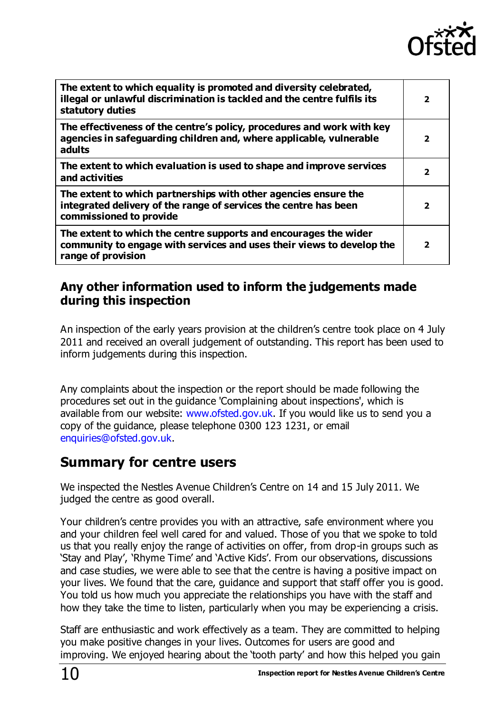

| The extent to which equality is promoted and diversity celebrated,<br>illegal or unlawful discrimination is tackled and the centre fulfils its<br>statutory duties | $\overline{\mathbf{2}}$  |
|--------------------------------------------------------------------------------------------------------------------------------------------------------------------|--------------------------|
| The effectiveness of the centre's policy, procedures and work with key<br>agencies in safeguarding children and, where applicable, vulnerable<br>adults            | $\overline{\phantom{a}}$ |
| The extent to which evaluation is used to shape and improve services<br>and activities                                                                             | $\overline{\mathbf{2}}$  |
| The extent to which partnerships with other agencies ensure the<br>integrated delivery of the range of services the centre has been<br>commissioned to provide     | $\overline{2}$           |
| The extent to which the centre supports and encourages the wider<br>community to engage with services and uses their views to develop the<br>range of provision    | $\overline{\mathbf{2}}$  |

# **Any other information used to inform the judgements made during this inspection**

An inspection of the early years provision at the children's centre took place on 4 July 2011 and received an overall judgement of outstanding. This report has been used to inform judgements during this inspection.

Any complaints about the inspection or the report should be made following the procedures set out in the guidance 'Complaining about inspections', which is available from our website: [www.ofsted.gov.uk.](http://www.ofsted.gov.uk/) If you would like us to send you a copy of the guidance, please telephone 0300 123 1231, or email [enquiries@ofsted.gov.uk.](mailto:enquiries@ofsted.gov.uk)

# **Summary for centre users**

We inspected the Nestles Avenue Children's Centre on 14 and 15 July 2011. We judged the centre as good overall.

Your children's centre provides you with an attractive, safe environment where you and your children feel well cared for and valued. Those of you that we spoke to told us that you really enjoy the range of activities on offer, from drop-in groups such as 'Stay and Play', 'Rhyme Time' and 'Active Kids'. From our observations, discussions and case studies, we were able to see that the centre is having a positive impact on your lives. We found that the care, guidance and support that staff offer you is good. You told us how much you appreciate the relationships you have with the staff and how they take the time to listen, particularly when you may be experiencing a crisis.

Staff are enthusiastic and work effectively as a team. They are committed to helping you make positive changes in your lives. Outcomes for users are good and improving. We enjoyed hearing about the 'tooth party' and how this helped you gain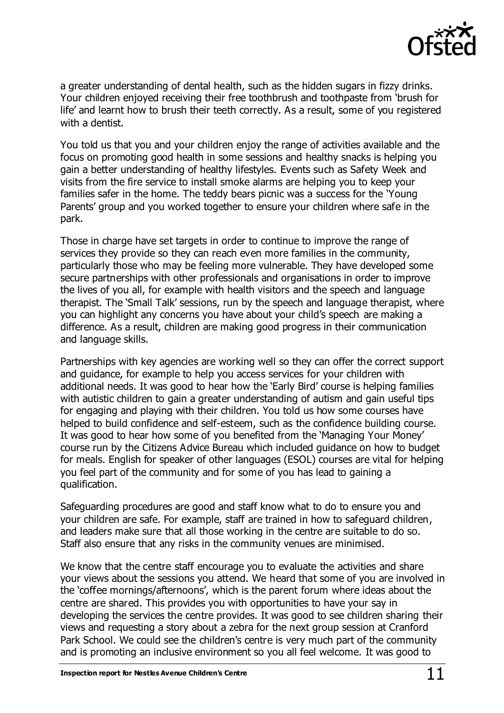

a greater understanding of dental health, such as the hidden sugars in fizzy drinks. Your children enjoyed receiving their free toothbrush and toothpaste from 'brush for life' and learnt how to brush their teeth correctly. As a result, some of you registered with a dentist.

You told us that you and your children enjoy the range of activities available and the focus on promoting good health in some sessions and healthy snacks is helping you gain a better understanding of healthy lifestyles. Events such as Safety Week and visits from the fire service to install smoke alarms are helping you to keep your families safer in the home. The teddy bears picnic was a success for the 'Young Parents' group and you worked together to ensure your children where safe in the park.

Those in charge have set targets in order to continue to improve the range of services they provide so they can reach even more families in the community, particularly those who may be feeling more vulnerable. They have developed some secure partnerships with other professionals and organisations in order to improve the lives of you all, for example with health visitors and the speech and language therapist. The 'Small Talk' sessions, run by the speech and language therapist, where you can highlight any concerns you have about your child's speech are making a difference. As a result, children are making good progress in their communication and language skills.

Partnerships with key agencies are working well so they can offer the correct support and guidance, for example to help you access services for your children with additional needs. It was good to hear how the 'Early Bird' course is helping families with autistic children to gain a greater understanding of autism and gain useful tips for engaging and playing with their children. You told us how some courses have helped to build confidence and self-esteem, such as the confidence building course. It was good to hear how some of you benefited from the 'Managing Your Money' course run by the Citizens Advice Bureau which included guidance on how to budget for meals. English for speaker of other languages (ESOL) courses are vital for helping you feel part of the community and for some of you has lead to gaining a qualification.

Safeguarding procedures are good and staff know what to do to ensure you and your children are safe. For example, staff are trained in how to safeguard children, and leaders make sure that all those working in the centre are suitable to do so. Staff also ensure that any risks in the community venues are minimised.

We know that the centre staff encourage you to evaluate the activities and share your views about the sessions you attend. We heard that some of you are involved in the 'coffee mornings/afternoons', which is the parent forum where ideas about the centre are shared. This provides you with opportunities to have your say in developing the services the centre provides. It was good to see children sharing their views and requesting a story about a zebra for the next group session at Cranford Park School. We could see the children's centre is very much part of the community and is promoting an inclusive environment so you all feel welcome. It was good to